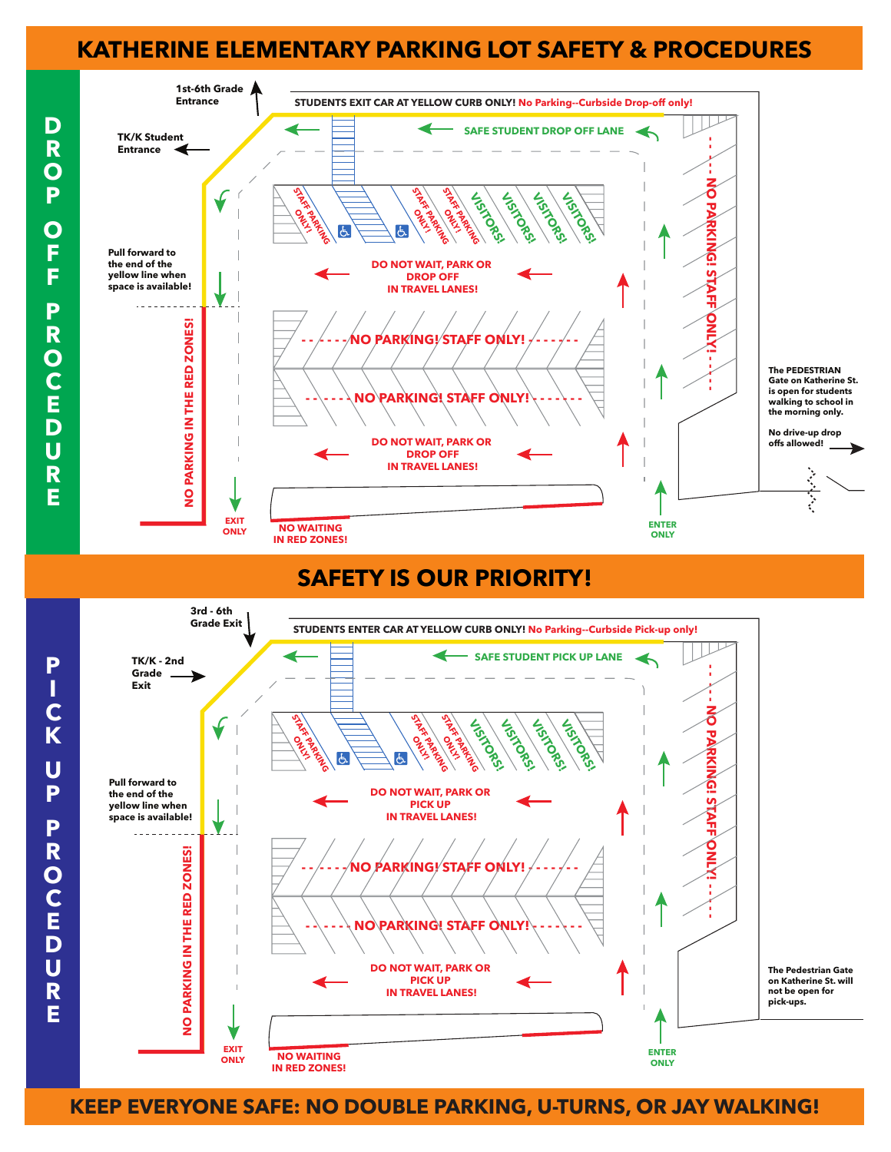## **KATHERINE ELEMENTARY PARKING LOT SAFETY & PROCEDURES**



#### **SAFETY IS OUR PRIORITY!**



**KEEP EVERYONE SAFE: NO DOUBLE PARKING, U-TURNS, OR JAY WALKING!**